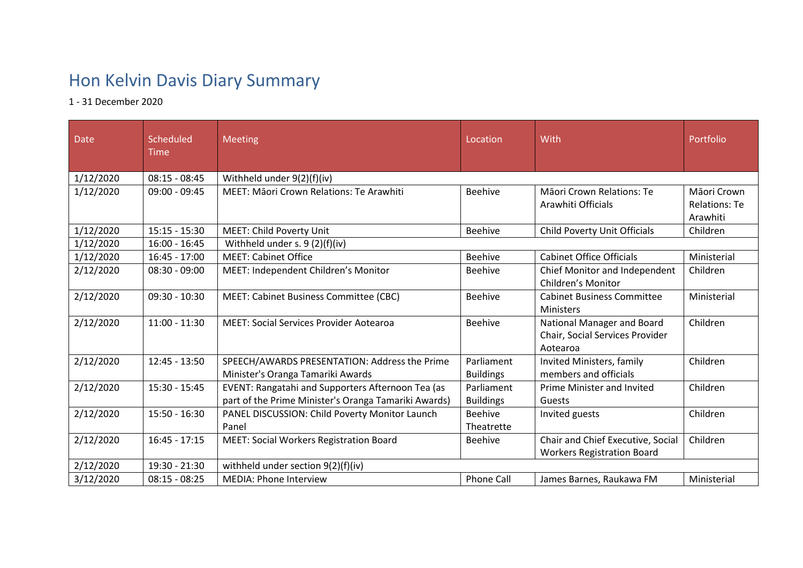## Hon Kelvin Davis Diary Summary

1 - 31 December 2020

| <b>Date</b> | <b>Scheduled</b><br><b>Time</b> | <b>Meeting</b>                                                                                            | Location                       | With                                                                      | Portfolio                                       |  |
|-------------|---------------------------------|-----------------------------------------------------------------------------------------------------------|--------------------------------|---------------------------------------------------------------------------|-------------------------------------------------|--|
| 1/12/2020   | $08:15 - 08:45$                 | Withheld under 9(2)(f)(iv)                                                                                |                                |                                                                           |                                                 |  |
| 1/12/2020   | 09:00 - 09:45                   | MEET: Māori Crown Relations: Te Arawhiti                                                                  | <b>Beehive</b>                 | Māori Crown Relations: Te<br>Arawhiti Officials                           | Māori Crown<br><b>Relations: Te</b><br>Arawhiti |  |
| 1/12/2020   | $15:15 - 15:30$                 | <b>MEET: Child Poverty Unit</b>                                                                           | <b>Beehive</b>                 | Child Poverty Unit Officials                                              | Children                                        |  |
| 1/12/2020   | $16:00 - 16:45$                 | Withheld under s. 9 (2)(f)(iv)                                                                            |                                |                                                                           |                                                 |  |
| 1/12/2020   | $16:45 - 17:00$                 | <b>MEET: Cabinet Office</b>                                                                               | <b>Beehive</b>                 | <b>Cabinet Office Officials</b>                                           | Ministerial                                     |  |
| 2/12/2020   | $08:30 - 09:00$                 | MEET: Independent Children's Monitor                                                                      | <b>Beehive</b>                 | Chief Monitor and Independent<br><b>Children's Monitor</b>                | Children                                        |  |
| 2/12/2020   | $09:30 - 10:30$                 | MEET: Cabinet Business Committee (CBC)                                                                    | <b>Beehive</b>                 | <b>Cabinet Business Committee</b><br><b>Ministers</b>                     | Ministerial                                     |  |
| 2/12/2020   | $11:00 - 11:30$                 | <b>MEET: Social Services Provider Aotearoa</b>                                                            | <b>Beehive</b>                 | National Manager and Board<br>Chair, Social Services Provider<br>Aotearoa | Children                                        |  |
| 2/12/2020   | $12:45 - 13:50$                 | SPEECH/AWARDS PRESENTATION: Address the Prime<br>Minister's Oranga Tamariki Awards                        | Parliament<br><b>Buildings</b> | Invited Ministers, family<br>members and officials                        | Children                                        |  |
| 2/12/2020   | 15:30 - 15:45                   | EVENT: Rangatahi and Supporters Afternoon Tea (as<br>part of the Prime Minister's Oranga Tamariki Awards) | Parliament<br><b>Buildings</b> | <b>Prime Minister and Invited</b><br>Guests                               | Children                                        |  |
| 2/12/2020   | $15:50 - 16:30$                 | PANEL DISCUSSION: Child Poverty Monitor Launch<br>Panel                                                   | <b>Beehive</b><br>Theatrette   | Invited guests                                                            | Children                                        |  |
| 2/12/2020   | $16:45 - 17:15$                 | <b>MEET: Social Workers Registration Board</b>                                                            | <b>Beehive</b>                 | Chair and Chief Executive, Social<br><b>Workers Registration Board</b>    | Children                                        |  |
| 2/12/2020   | 19:30 - 21:30                   | withheld under section 9(2)(f)(iv)                                                                        |                                |                                                                           |                                                 |  |
| 3/12/2020   | $08:15 - 08:25$                 | <b>MEDIA: Phone Interview</b>                                                                             | <b>Phone Call</b>              | James Barnes, Raukawa FM                                                  | Ministerial                                     |  |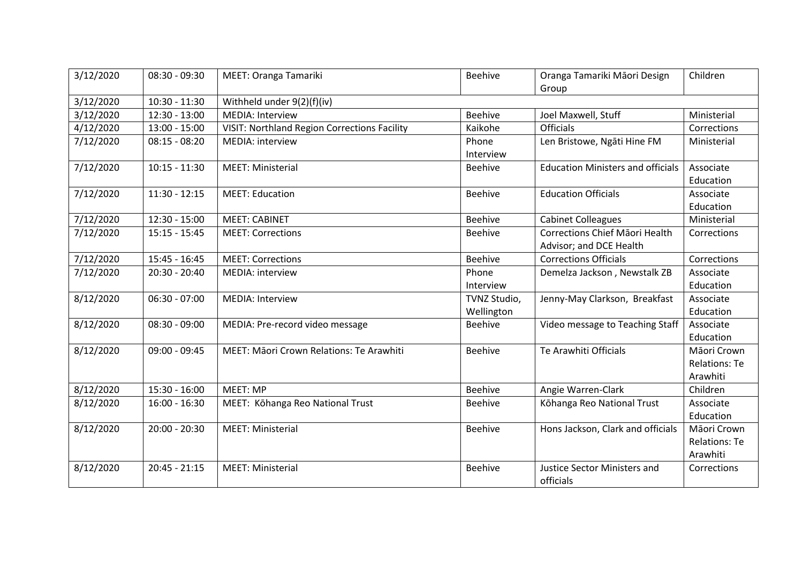| 3/12/2020 | $08:30 - 09:30$ | MEET: Oranga Tamariki                               | <b>Beehive</b>             | Oranga Tamariki Māori Design<br>Group                     | Children                                        |  |
|-----------|-----------------|-----------------------------------------------------|----------------------------|-----------------------------------------------------------|-------------------------------------------------|--|
| 3/12/2020 | $10:30 - 11:30$ | Withheld under 9(2)(f)(iv)                          |                            |                                                           |                                                 |  |
| 3/12/2020 | $12:30 - 13:00$ | <b>MEDIA: Interview</b>                             | <b>Beehive</b>             | Joel Maxwell, Stuff                                       | Ministerial                                     |  |
| 4/12/2020 | $13:00 - 15:00$ | <b>VISIT: Northland Region Corrections Facility</b> | Kaikohe                    | <b>Officials</b>                                          | Corrections                                     |  |
| 7/12/2020 | $08:15 - 08:20$ | <b>MEDIA: interview</b>                             | Phone<br>Interview         | Len Bristowe, Ngāti Hine FM                               | Ministerial                                     |  |
| 7/12/2020 | $10:15 - 11:30$ | <b>MEET: Ministerial</b>                            | <b>Beehive</b>             | <b>Education Ministers and officials</b>                  | Associate<br>Education                          |  |
| 7/12/2020 | $11:30 - 12:15$ | <b>MEET: Education</b>                              | Beehive                    | <b>Education Officials</b>                                | Associate<br>Education                          |  |
| 7/12/2020 | $12:30 - 15:00$ | <b>MEET: CABINET</b>                                | <b>Beehive</b>             | <b>Cabinet Colleagues</b>                                 | Ministerial                                     |  |
| 7/12/2020 | $15:15 - 15:45$ | <b>MEET: Corrections</b>                            | <b>Beehive</b>             | Corrections Chief Māori Health<br>Advisor; and DCE Health | Corrections                                     |  |
| 7/12/2020 | 15:45 - 16:45   | <b>MEET: Corrections</b>                            | <b>Beehive</b>             | <b>Corrections Officials</b>                              | Corrections                                     |  |
| 7/12/2020 | 20:30 - 20:40   | MEDIA: interview                                    | Phone<br>Interview         | Demelza Jackson, Newstalk ZB                              | Associate<br>Education                          |  |
| 8/12/2020 | $06:30 - 07:00$ | <b>MEDIA: Interview</b>                             | TVNZ Studio,<br>Wellington | Jenny-May Clarkson, Breakfast                             | Associate<br>Education                          |  |
| 8/12/2020 | $08:30 - 09:00$ | MEDIA: Pre-record video message                     | <b>Beehive</b>             | Video message to Teaching Staff                           | Associate<br>Education                          |  |
| 8/12/2020 | $09:00 - 09:45$ | MEET: Māori Crown Relations: Te Arawhiti            | Beehive                    | Te Arawhiti Officials                                     | Māori Crown<br><b>Relations: Te</b><br>Arawhiti |  |
| 8/12/2020 | 15:30 - 16:00   | MEET: MP                                            | Beehive                    | Angie Warren-Clark                                        | Children                                        |  |
| 8/12/2020 | $16:00 - 16:30$ | MEET: Kōhanga Reo National Trust                    | <b>Beehive</b>             | Kōhanga Reo National Trust                                | Associate<br>Education                          |  |
| 8/12/2020 | $20:00 - 20:30$ | <b>MEET: Ministerial</b>                            | <b>Beehive</b>             | Hons Jackson, Clark and officials                         | Māori Crown<br><b>Relations: Te</b><br>Arawhiti |  |
| 8/12/2020 | $20:45 - 21:15$ | <b>MEET: Ministerial</b>                            | <b>Beehive</b>             | <b>Justice Sector Ministers and</b><br>officials          | Corrections                                     |  |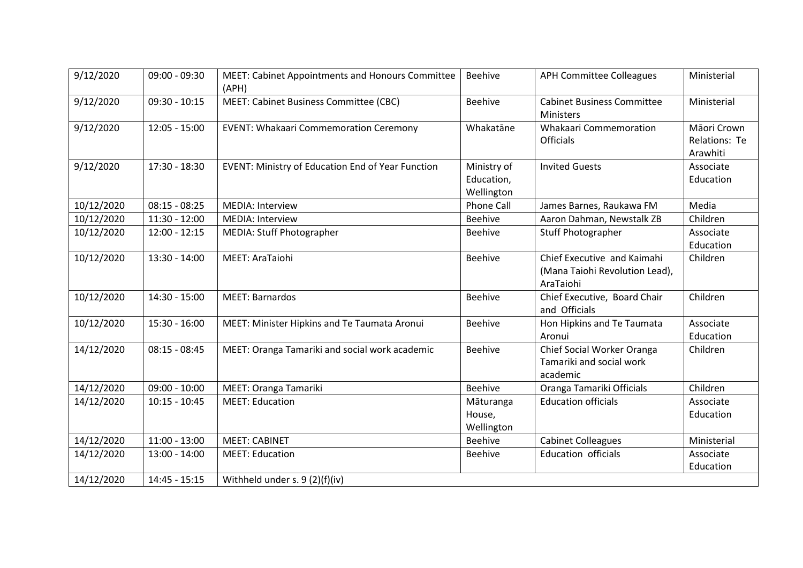| 9/12/2020  | 09:00 - 09:30   | MEET: Cabinet Appointments and Honours Committee<br>(APH) | Beehive                                 | <b>APH Committee Colleagues</b>                                            | Ministerial                              |
|------------|-----------------|-----------------------------------------------------------|-----------------------------------------|----------------------------------------------------------------------------|------------------------------------------|
| 9/12/2020  | $09:30 - 10:15$ | MEET: Cabinet Business Committee (CBC)                    | <b>Beehive</b>                          | <b>Cabinet Business Committee</b><br>Ministers                             | Ministerial                              |
| 9/12/2020  | $12:05 - 15:00$ | <b>EVENT: Whakaari Commemoration Ceremony</b>             | Whakatāne                               | <b>Whakaari Commemoration</b><br>Officials                                 | Māori Crown<br>Relations: Te<br>Arawhiti |
| 9/12/2020  | 17:30 - 18:30   | EVENT: Ministry of Education End of Year Function         | Ministry of<br>Education,<br>Wellington | <b>Invited Guests</b>                                                      | Associate<br>Education                   |
| 10/12/2020 | $08:15 - 08:25$ | MEDIA: Interview                                          | <b>Phone Call</b>                       | James Barnes, Raukawa FM                                                   | Media                                    |
| 10/12/2020 | $11:30 - 12:00$ | MEDIA: Interview                                          | <b>Beehive</b>                          | Aaron Dahman, Newstalk ZB                                                  | Children                                 |
| 10/12/2020 | $12:00 - 12:15$ | MEDIA: Stuff Photographer                                 | <b>Beehive</b>                          | Stuff Photographer                                                         | Associate<br>Education                   |
| 10/12/2020 | $13:30 - 14:00$ | MEET: AraTaiohi                                           | <b>Beehive</b>                          | Chief Executive and Kaimahi<br>(Mana Taiohi Revolution Lead),<br>AraTaiohi | Children                                 |
| 10/12/2020 | 14:30 - 15:00   | <b>MEET: Barnardos</b>                                    | <b>Beehive</b>                          | Chief Executive, Board Chair<br>and Officials                              | Children                                 |
| 10/12/2020 | $15:30 - 16:00$ | MEET: Minister Hipkins and Te Taumata Aronui              | <b>Beehive</b>                          | Hon Hipkins and Te Taumata<br>Aronui                                       | Associate<br>Education                   |
| 14/12/2020 | $08:15 - 08:45$ | MEET: Oranga Tamariki and social work academic            | <b>Beehive</b>                          | Chief Social Worker Oranga<br>Tamariki and social work<br>academic         | Children                                 |
| 14/12/2020 | $09:00 - 10:00$ | MEET: Oranga Tamariki                                     | Beehive                                 | Oranga Tamariki Officials                                                  | Children                                 |
| 14/12/2020 | $10:15 - 10:45$ | <b>MEET: Education</b>                                    | Māturanga<br>House,<br>Wellington       | <b>Education officials</b>                                                 | Associate<br>Education                   |
| 14/12/2020 | $11:00 - 13:00$ | <b>MEET: CABINET</b>                                      | Beehive                                 | <b>Cabinet Colleagues</b>                                                  | Ministerial                              |
| 14/12/2020 | $13:00 - 14:00$ | <b>MEET: Education</b>                                    | <b>Beehive</b>                          | <b>Education officials</b>                                                 | Associate<br>Education                   |
| 14/12/2020 | $14:45 - 15:15$ | Withheld under s. 9 (2)(f)(iv)                            |                                         |                                                                            |                                          |